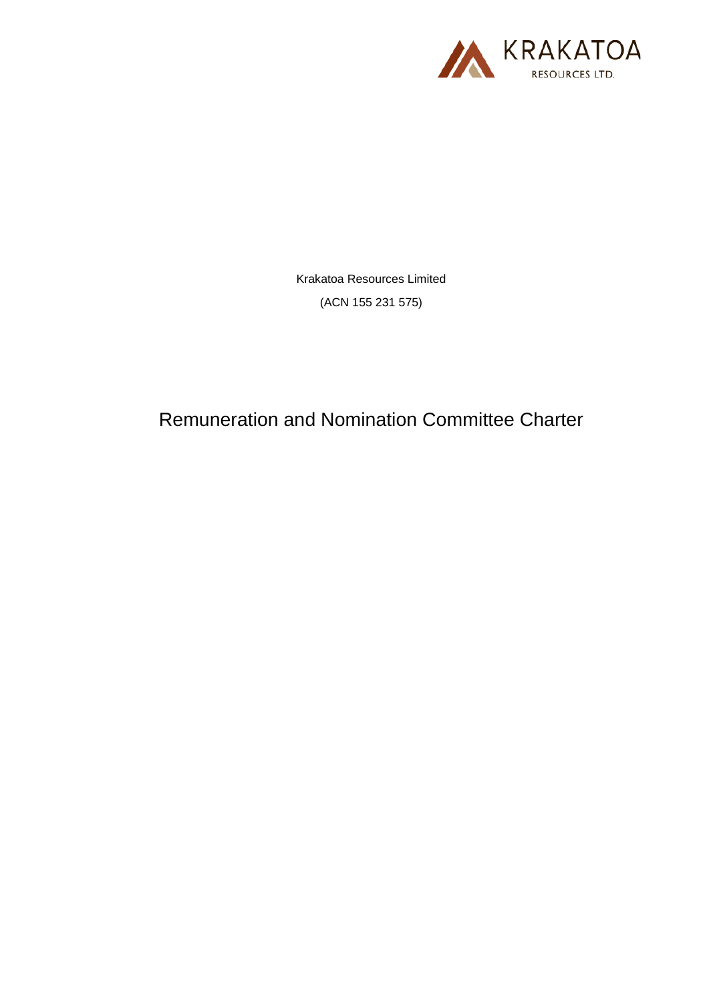

Krakatoa Resources Limited (ACN 155 231 575)

Remuneration and Nomination Committee Charter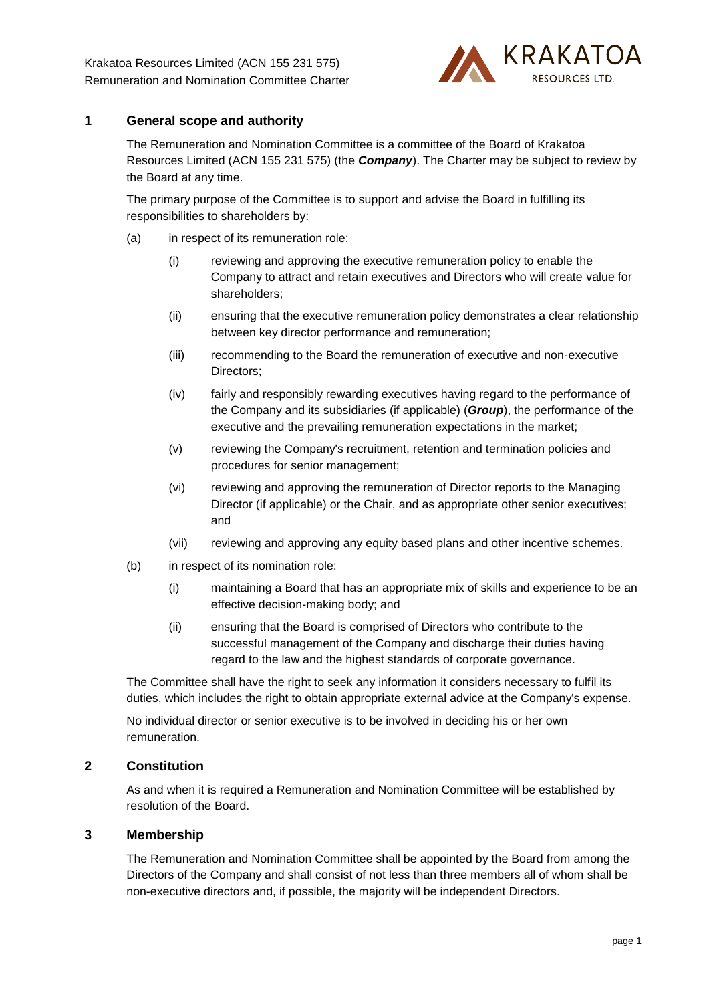

# **1 General scope and authority**

The Remuneration and Nomination Committee is a committee of the Board of Krakatoa Resources Limited (ACN 155 231 575) (the *Company*). The Charter may be subject to review by the Board at any time.

The primary purpose of the Committee is to support and advise the Board in fulfilling its responsibilities to shareholders by:

- (a) in respect of its remuneration role:
	- (i) reviewing and approving the executive remuneration policy to enable the Company to attract and retain executives and Directors who will create value for shareholders;
	- (ii) ensuring that the executive remuneration policy demonstrates a clear relationship between key director performance and remuneration;
	- (iii) recommending to the Board the remuneration of executive and non-executive Directors;
	- (iv) fairly and responsibly rewarding executives having regard to the performance of the Company and its subsidiaries (if applicable) (*Group*), the performance of the executive and the prevailing remuneration expectations in the market;
	- (v) reviewing the Company's recruitment, retention and termination policies and procedures for senior management;
	- (vi) reviewing and approving the remuneration of Director reports to the Managing Director (if applicable) or the Chair, and as appropriate other senior executives; and
	- (vii) reviewing and approving any equity based plans and other incentive schemes.
- (b) in respect of its nomination role:
	- (i) maintaining a Board that has an appropriate mix of skills and experience to be an effective decision-making body; and
	- (ii) ensuring that the Board is comprised of Directors who contribute to the successful management of the Company and discharge their duties having regard to the law and the highest standards of corporate governance.

The Committee shall have the right to seek any information it considers necessary to fulfil its duties, which includes the right to obtain appropriate external advice at the Company's expense.

No individual director or senior executive is to be involved in deciding his or her own remuneration.

## **2 Constitution**

As and when it is required a Remuneration and Nomination Committee will be established by resolution of the Board.

#### **3 Membership**

The Remuneration and Nomination Committee shall be appointed by the Board from among the Directors of the Company and shall consist of not less than three members all of whom shall be non-executive directors and, if possible, the majority will be independent Directors.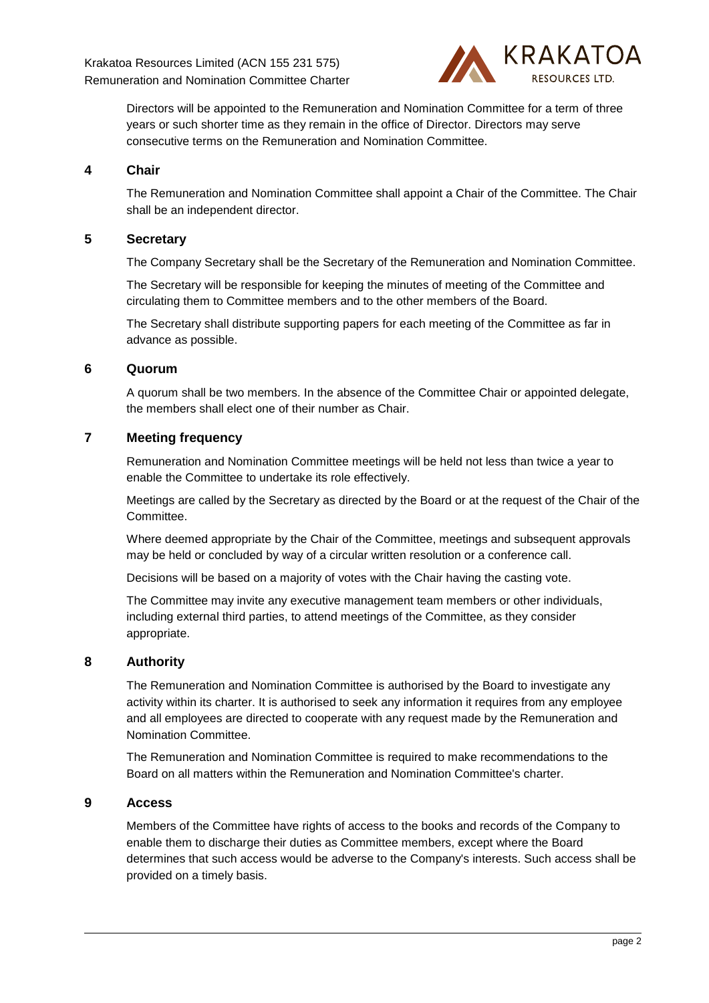

Directors will be appointed to the Remuneration and Nomination Committee for a term of three years or such shorter time as they remain in the office of Director. Directors may serve consecutive terms on the Remuneration and Nomination Committee.

#### **4 Chair**

The Remuneration and Nomination Committee shall appoint a Chair of the Committee. The Chair shall be an independent director.

### **5 Secretary**

The Company Secretary shall be the Secretary of the Remuneration and Nomination Committee.

The Secretary will be responsible for keeping the minutes of meeting of the Committee and circulating them to Committee members and to the other members of the Board.

The Secretary shall distribute supporting papers for each meeting of the Committee as far in advance as possible.

### **6 Quorum**

A quorum shall be two members. In the absence of the Committee Chair or appointed delegate, the members shall elect one of their number as Chair.

## **7 Meeting frequency**

Remuneration and Nomination Committee meetings will be held not less than twice a year to enable the Committee to undertake its role effectively.

Meetings are called by the Secretary as directed by the Board or at the request of the Chair of the Committee.

Where deemed appropriate by the Chair of the Committee, meetings and subsequent approvals may be held or concluded by way of a circular written resolution or a conference call.

Decisions will be based on a majority of votes with the Chair having the casting vote.

The Committee may invite any executive management team members or other individuals, including external third parties, to attend meetings of the Committee, as they consider appropriate.

#### **8 Authority**

The Remuneration and Nomination Committee is authorised by the Board to investigate any activity within its charter. It is authorised to seek any information it requires from any employee and all employees are directed to cooperate with any request made by the Remuneration and Nomination Committee.

The Remuneration and Nomination Committee is required to make recommendations to the Board on all matters within the Remuneration and Nomination Committee's charter.

#### **9 Access**

Members of the Committee have rights of access to the books and records of the Company to enable them to discharge their duties as Committee members, except where the Board determines that such access would be adverse to the Company's interests. Such access shall be provided on a timely basis.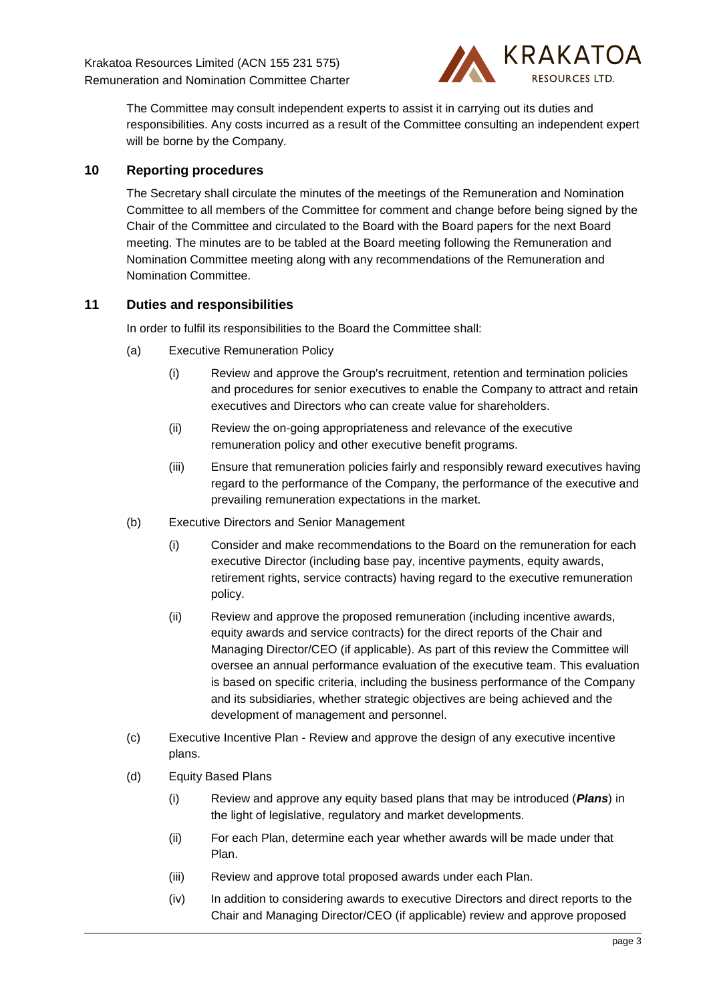

The Committee may consult independent experts to assist it in carrying out its duties and responsibilities. Any costs incurred as a result of the Committee consulting an independent expert will be borne by the Company.

## **10 Reporting procedures**

The Secretary shall circulate the minutes of the meetings of the Remuneration and Nomination Committee to all members of the Committee for comment and change before being signed by the Chair of the Committee and circulated to the Board with the Board papers for the next Board meeting. The minutes are to be tabled at the Board meeting following the Remuneration and Nomination Committee meeting along with any recommendations of the Remuneration and Nomination Committee.

# **11 Duties and responsibilities**

In order to fulfil its responsibilities to the Board the Committee shall:

- (a) Executive Remuneration Policy
	- (i) Review and approve the Group's recruitment, retention and termination policies and procedures for senior executives to enable the Company to attract and retain executives and Directors who can create value for shareholders.
	- (ii) Review the on-going appropriateness and relevance of the executive remuneration policy and other executive benefit programs.
	- (iii) Ensure that remuneration policies fairly and responsibly reward executives having regard to the performance of the Company, the performance of the executive and prevailing remuneration expectations in the market.
- <span id="page-3-0"></span>(b) Executive Directors and Senior Management
	- (i) Consider and make recommendations to the Board on the remuneration for each executive Director (including base pay, incentive payments, equity awards, retirement rights, service contracts) having regard to the executive remuneration policy.
	- (ii) Review and approve the proposed remuneration (including incentive awards, equity awards and service contracts) for the direct reports of the Chair and Managing Director/CEO (if applicable). As part of this review the Committee will oversee an annual performance evaluation of the executive team. This evaluation is based on specific criteria, including the business performance of the Company and its subsidiaries, whether strategic objectives are being achieved and the development of management and personnel.
- (c) Executive Incentive Plan Review and approve the design of any executive incentive plans.
- (d) Equity Based Plans
	- (i) Review and approve any equity based plans that may be introduced (*Plans*) in the light of legislative, regulatory and market developments.
	- (ii) For each Plan, determine each year whether awards will be made under that Plan.
	- (iii) Review and approve total proposed awards under each Plan.
	- (iv) In addition to considering awards to executive Directors and direct reports to the Chair and Managing Director/CEO (if applicable) review and approve proposed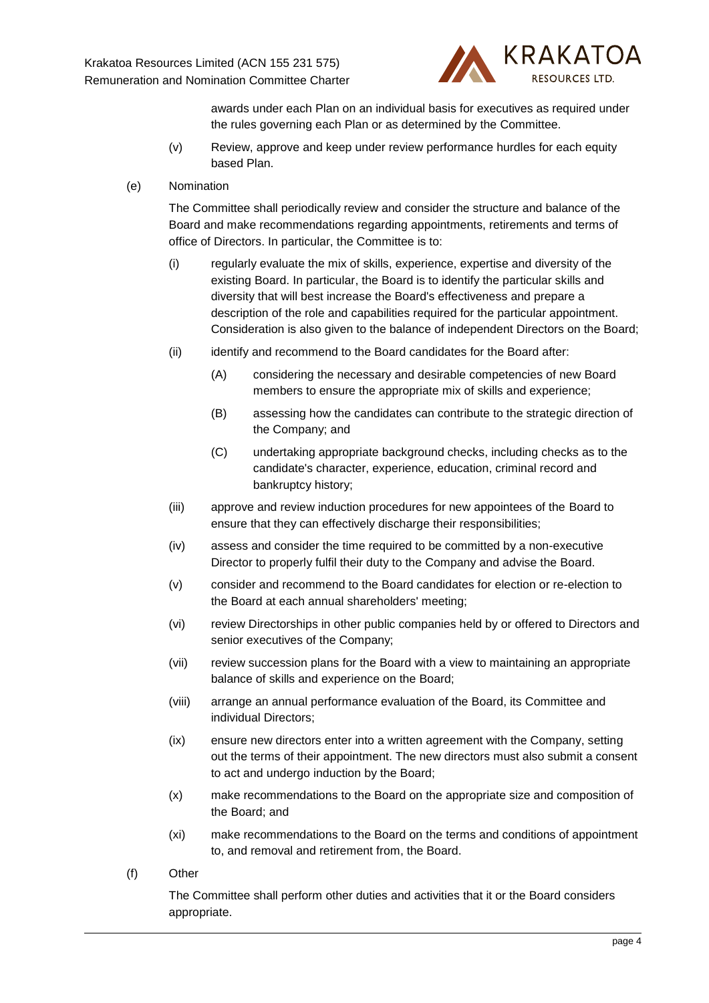

awards under each Plan on an individual basis for executives as required under the rules governing each Plan or as determined by the Committee.

- (v) Review, approve and keep under review performance hurdles for each equity based Plan.
- (e) Nomination

The Committee shall periodically review and consider the structure and balance of the Board and make recommendations regarding appointments, retirements and terms of office of Directors. In particular, the Committee is to:

- (i) regularly evaluate the mix of skills, experience, expertise and diversity of the existing Board. In particular, the Board is to identify the particular skills and diversity that will best increase the Board's effectiveness and prepare a description of the role and capabilities required for the particular appointment. Consideration is also given to the balance of independent Directors on the Board;
- (ii) identify and recommend to the Board candidates for the Board after:
	- (A) considering the necessary and desirable competencies of new Board members to ensure the appropriate mix of skills and experience;
	- (B) assessing how the candidates can contribute to the strategic direction of the Company; and
	- (C) undertaking appropriate background checks, including checks as to the candidate's character, experience, education, criminal record and bankruptcy history;
- (iii) approve and review induction procedures for new appointees of the Board to ensure that they can effectively discharge their responsibilities;
- (iv) assess and consider the time required to be committed by a non-executive Director to properly fulfil their duty to the Company and advise the Board.
- (v) consider and recommend to the Board candidates for election or re-election to the Board at each annual shareholders' meeting;
- (vi) review Directorships in other public companies held by or offered to Directors and senior executives of the Company;
- (vii) review succession plans for the Board with a view to maintaining an appropriate balance of skills and experience on the Board;
- (viii) arrange an annual performance evaluation of the Board, its Committee and individual Directors;
- (ix) ensure new directors enter into a written agreement with the Company, setting out the terms of their appointment. The new directors must also submit a consent to act and undergo induction by the Board;
- (x) make recommendations to the Board on the appropriate size and composition of the Board; and
- (xi) make recommendations to the Board on the terms and conditions of appointment to, and removal and retirement from, the Board.
- (f) Other

The Committee shall perform other duties and activities that it or the Board considers appropriate.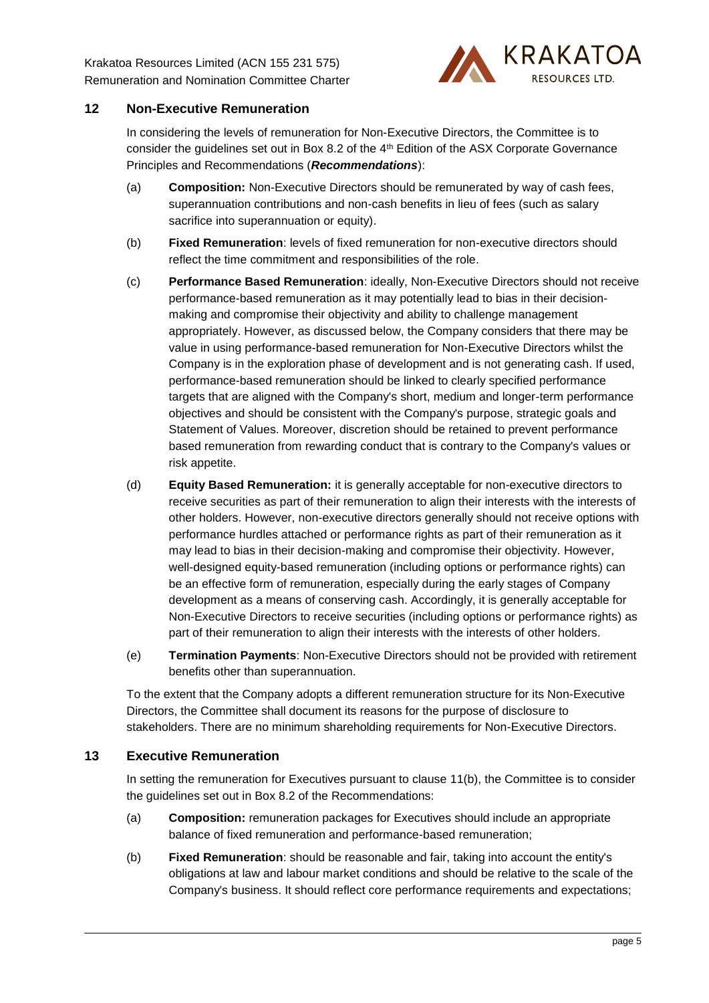

# **12 Non-Executive Remuneration**

In considering the levels of remuneration for Non-Executive Directors, the Committee is to consider the guidelines set out in Box 8.2 of the 4th Edition of the ASX Corporate Governance Principles and Recommendations (*Recommendations*):

- (a) **Composition:** Non-Executive Directors should be remunerated by way of cash fees, superannuation contributions and non-cash benefits in lieu of fees (such as salary sacrifice into superannuation or equity).
- (b) **Fixed Remuneration**: levels of fixed remuneration for non-executive directors should reflect the time commitment and responsibilities of the role.
- (c) **Performance Based Remuneration**: ideally, Non-Executive Directors should not receive performance-based remuneration as it may potentially lead to bias in their decisionmaking and compromise their objectivity and ability to challenge management appropriately. However, as discussed below, the Company considers that there may be value in using performance-based remuneration for Non-Executive Directors whilst the Company is in the exploration phase of development and is not generating cash. If used, performance-based remuneration should be linked to clearly specified performance targets that are aligned with the Company's short, medium and longer-term performance objectives and should be consistent with the Company's purpose, strategic goals and Statement of Values. Moreover, discretion should be retained to prevent performance based remuneration from rewarding conduct that is contrary to the Company's values or risk appetite.
- (d) **Equity Based Remuneration:** it is generally acceptable for non-executive directors to receive securities as part of their remuneration to align their interests with the interests of other holders. However, non-executive directors generally should not receive options with performance hurdles attached or performance rights as part of their remuneration as it may lead to bias in their decision-making and compromise their objectivity. However, well-designed equity-based remuneration (including options or performance rights) can be an effective form of remuneration, especially during the early stages of Company development as a means of conserving cash. Accordingly, it is generally acceptable for Non-Executive Directors to receive securities (including options or performance rights) as part of their remuneration to align their interests with the interests of other holders.
- (e) **Termination Payments**: Non-Executive Directors should not be provided with retirement benefits other than superannuation.

To the extent that the Company adopts a different remuneration structure for its Non-Executive Directors, the Committee shall document its reasons for the purpose of disclosure to stakeholders. There are no minimum shareholding requirements for Non-Executive Directors.

## **13 Executive Remuneration**

In setting the remuneration for Executives pursuant to clause [11\(b\),](#page-3-0) the Committee is to consider the guidelines set out in Box 8.2 of the Recommendations:

- (a) **Composition:** remuneration packages for Executives should include an appropriate balance of fixed remuneration and performance-based remuneration;
- (b) **Fixed Remuneration**: should be reasonable and fair, taking into account the entity's obligations at law and labour market conditions and should be relative to the scale of the Company's business. It should reflect core performance requirements and expectations;